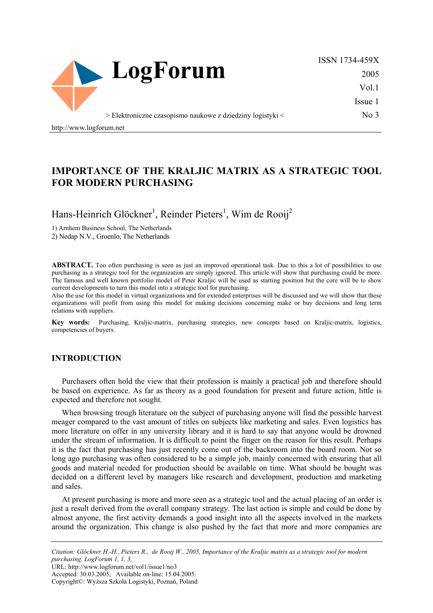

ISSN 1734-459X 2005 Vol.1 Issue 1 No 3

> Elektroniczne czasopismo naukowe z dziedziny logistyki <

http://www.logforum.net

## **IMPORTANCE OF THE KRALJIC MATRIX AS A STRATEGIC TOOL FOR MODERN PURCHASING**

Hans-Heinrich Glöckner<sup>1</sup>, Reinder Pieters<sup>1</sup>, Wim de Rooij<sup>2</sup>

1) Arnhem Business School, The Netherlands

2) Nedap N.V., Groenlo, The Netherlands

**ABSTRACT.** Too often purchasing is seen as just an improved operational task. Due to this a lot of possibilities to use purchasing as a strategic tool for the organization are simply ignored. This article will show that purchasing could be more. The famous and well known portfolio model of Peter Kraljic will be used as starting position but the core will be to show current developments to turn this model into a strategic tool for purchasing.

Also the use for this model in virtual organizations and for extended enterprises will be discussed and we will show that these organizations will profit from using this model for making decisions concerning make or buy decisions and long term relations with suppliers.

**Key words:** Purchasing, Kraljic-matrix, purchasing strategies, new concepts based on Kraljic-matrix, logistics, competencies of buyers.

#### **INTRODUCTION**

Purchasers often hold the view that their profession is mainly a practical job and therefore should be based on experience. As far as theory as a good foundation for present and future action, little is expected and therefore not sought.

When browsing trough literature on the subject of purchasing anyone will find the possible harvest meager compared to the vast amount of titles on subjects like marketing and sales. Even logistics has more literature on offer in any university library and it is hard to say that anyone would be drowned under the stream of information. It is difficult to point the finger on the reason for this result. Perhaps it is the fact that purchasing has just recently come out of the backroom into the board room. Not so long ago purchasing was often considered to be a simple job, mainly concerned with ensuring that all goods and material needed for production should be available on time. What should be bought was decided on a different level by managers like research and development, production and marketing and sales.

At present purchasing is more and more seen as a strategic tool and the actual placing of an order is just a result derived from the overall company strategy. The last action is simple and could be done by almost anyone, the first activity demands a good insight into all the aspects involved in the markets around the organization. This change is also pushed by the fact that more and more companies are

*Citation: Glöckner H.-H., Pieters R., de Rooij W., 2005, Importance of the Kraljic matrix as a strategic tool for modern purchasing. LogForum 1, 1, 3,* 

URL: http://www.logforum.net/vol1/issue1/no3

Accepted: 30.03.2005, Available on-line: 15.04.2005. Copyright©: Wyższa Szkoła Logistyki, Poznań, Poland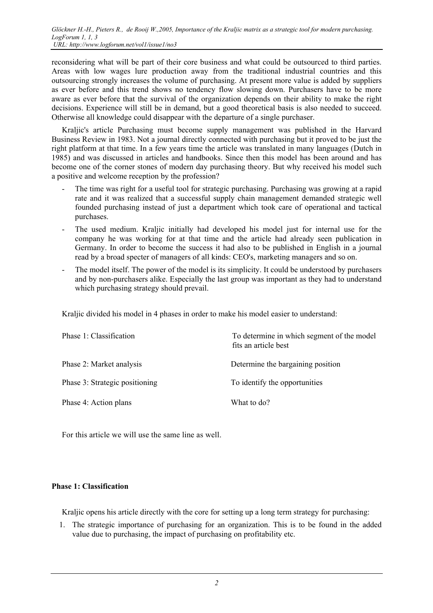reconsidering what will be part of their core business and what could be outsourced to third parties. Areas with low wages lure production away from the traditional industrial countries and this outsourcing strongly increases the volume of purchasing. At present more value is added by suppliers as ever before and this trend shows no tendency flow slowing down. Purchasers have to be more aware as ever before that the survival of the organization depends on their ability to make the right decisions. Experience will still be in demand, but a good theoretical basis is also needed to succeed. Otherwise all knowledge could disappear with the departure of a single purchaser.

Kraljic's article Purchasing must become supply management was published in the Harvard Business Review in 1983. Not a journal directly connected with purchasing but it proved to be just the right platform at that time. In a few years time the article was translated in many languages (Dutch in 1985) and was discussed in articles and handbooks. Since then this model has been around and has become one of the corner stones of modern day purchasing theory. But why received his model such a positive and welcome reception by the profession?

- The time was right for a useful tool for strategic purchasing. Purchasing was growing at a rapid rate and it was realized that a successful supply chain management demanded strategic well founded purchasing instead of just a department which took care of operational and tactical purchases.
- The used medium. Kraljic initially had developed his model just for internal use for the company he was working for at that time and the article had already seen publication in Germany. In order to become the success it had also to be published in English in a journal read by a broad specter of managers of all kinds: CEO's, marketing managers and so on.
- The model itself. The power of the model is its simplicity. It could be understood by purchasers and by non-purchasers alike. Especially the last group was important as they had to understand which purchasing strategy should prevail.

Kraljic divided his model in 4 phases in order to make his model easier to understand:

| Phase 1: Classification        | To determine in which segment of the model<br>fits an article best |
|--------------------------------|--------------------------------------------------------------------|
| Phase 2: Market analysis       | Determine the bargaining position                                  |
| Phase 3: Strategic positioning | To identify the opportunities                                      |
| Phase 4: Action plans          | What to do?                                                        |

For this article we will use the same line as well.

## **Phase 1: Classification**

Kraljic opens his article directly with the core for setting up a long term strategy for purchasing:

1. The strategic importance of purchasing for an organization. This is to be found in the added value due to purchasing, the impact of purchasing on profitability etc.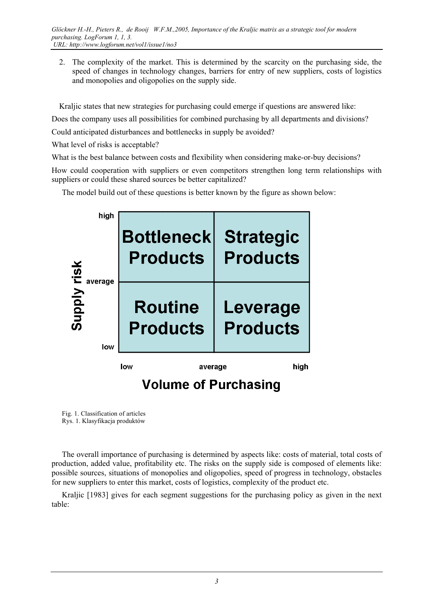*Glöckner H.-H., Pieters R., de Rooij W.F.M.,2005, Importance of the Kraljic matrix as a strategic tool for modern purchasing. LogForum 1, 1, 3. URL: http://www.logforum.net/vol1/issue1/no3* 

2. The complexity of the market. This is determined by the scarcity on the purchasing side, the speed of changes in technology changes, barriers for entry of new suppliers, costs of logistics and monopolies and oligopolies on the supply side.

Kraljic states that new strategies for purchasing could emerge if questions are answered like:

Does the company uses all possibilities for combined purchasing by all departments and divisions?

Could anticipated disturbances and bottlenecks in supply be avoided?

What level of risks is acceptable?

What is the best balance between costs and flexibility when considering make-or-buy decisions?

How could cooperation with suppliers or even competitors strengthen long term relationships with suppliers or could these shared sources be better capitalized?

The model build out of these questions is better known by the figure as shown below:



Fig. 1. Classification of articles Rys. 1. Klasyfikacja produktów

The overall importance of purchasing is determined by aspects like: costs of material, total costs of production, added value, profitability etc. The risks on the supply side is composed of elements like: possible sources, situations of monopolies and oligopolies, speed of progress in technology, obstacles for new suppliers to enter this market, costs of logistics, complexity of the product etc.

Kraljic [1983] gives for each segment suggestions for the purchasing policy as given in the next table: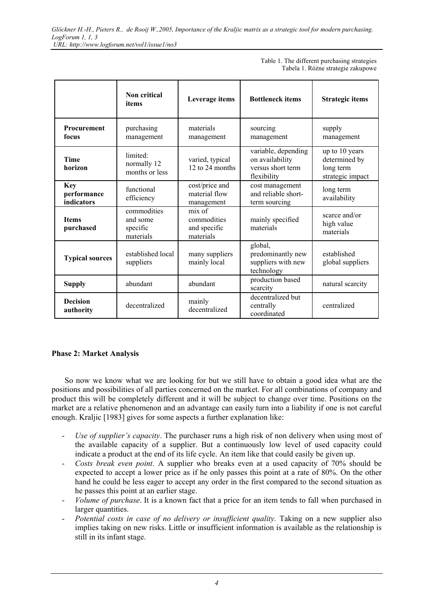*Glöckner H.-H., Pieters R., de Rooij W.,2005, Importance of the Kraljic matrix as a strategic tool for modern purchasing. LogForum 1, 1, 3 URL: http://www.logforum.net/vol1/issue1/no3* 

> Table 1. The different purchasing strategies Tabela 1. Różne strategie zakupowe

|                                         | Non critical<br>items                                 | Leverage items                                     | <b>Bottleneck items</b>                                                    | <b>Strategic items</b>                                           |
|-----------------------------------------|-------------------------------------------------------|----------------------------------------------------|----------------------------------------------------------------------------|------------------------------------------------------------------|
| Procurement<br>focus                    | purchasing<br>management                              | materials<br>management                            | sourcing<br>management                                                     | supply<br>management                                             |
| <b>Time</b><br>horizon                  | limited <sup>-</sup><br>normally 12<br>months or less | varied, typical<br>12 to 24 months                 | variable, depending<br>on availability<br>versus short term<br>flexibility | up to 10 years<br>determined by<br>long term<br>strategic impact |
| <b>Key</b><br>performance<br>indicators | functional<br>efficiency                              | cost/price and<br>material flow<br>management      | cost management<br>and reliable short-<br>term sourcing                    | long term<br>availability                                        |
| <b>Items</b><br>purchased               | commodities<br>and some<br>specific<br>materials      | mix of<br>commodities<br>and specific<br>materials | mainly specified<br>materials                                              | scarce and/or<br>high value<br>materials                         |
| <b>Typical sources</b>                  | established local<br>suppliers                        | many suppliers<br>mainly local                     | global,<br>predominantly new<br>suppliers with new<br>technology           | established<br>global suppliers                                  |
| <b>Supply</b>                           | abundant                                              | abundant                                           | production based<br>scarcity                                               | natural scarcity                                                 |
| <b>Decision</b><br>authority            | decentralized                                         | mainly<br>decentralized                            | decentralized but<br>centrally<br>coordinated                              | centralized                                                      |

## **Phase 2: Market Analysis**

So now we know what we are looking for but we still have to obtain a good idea what are the positions and possibilities of all parties concerned on the market. For all combinations of company and product this will be completely different and it will be subject to change over time. Positions on the market are a relative phenomenon and an advantage can easily turn into a liability if one is not careful enough. Kraljic [1983] gives for some aspects a further explanation like:

- *Use of supplier's capacity*. The purchaser runs a high risk of non delivery when using most of the available capacity of a supplier. But a continuously low level of used capacity could indicate a product at the end of its life cycle. An item like that could easily be given up.
- *Costs break even point*. A supplier who breaks even at a used capacity of 70% should be expected to accept a lower price as if he only passes this point at a rate of 80%. On the other hand he could be less eager to accept any order in the first compared to the second situation as he passes this point at an earlier stage.
- *Volume of purchase*. It is a known fact that a price for an item tends to fall when purchased in larger quantities.
- *Potential costs in case of no delivery or insufficient quality.* Taking on a new supplier also implies taking on new risks. Little or insufficient information is available as the relationship is still in its infant stage.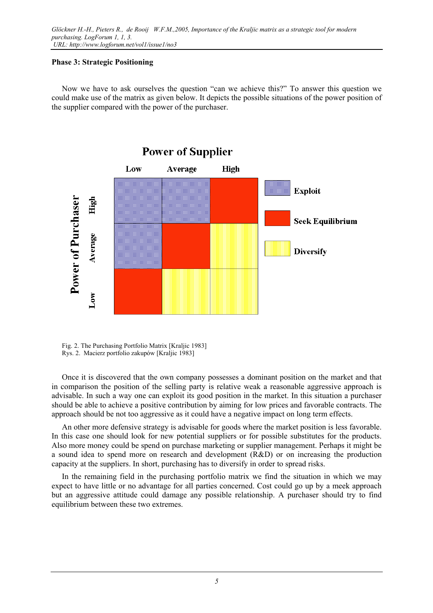## **Phase 3: Strategic Positioning**

Now we have to ask ourselves the question "can we achieve this?" To answer this question we could make use of the matrix as given below. It depicts the possible situations of the power position of the supplier compared with the power of the purchaser.



Fig. 2. The Purchasing Portfolio Matrix [Kraljic 1983] Rys. 2. Macierz portfolio zakupów [Kraljic 1983]

Once it is discovered that the own company possesses a dominant position on the market and that in comparison the position of the selling party is relative weak a reasonable aggressive approach is advisable. In such a way one can exploit its good position in the market. In this situation a purchaser should be able to achieve a positive contribution by aiming for low prices and favorable contracts. The approach should be not too aggressive as it could have a negative impact on long term effects.

An other more defensive strategy is advisable for goods where the market position is less favorable. In this case one should look for new potential suppliers or for possible substitutes for the products. Also more money could be spend on purchase marketing or supplier management. Perhaps it might be a sound idea to spend more on research and development (R&D) or on increasing the production capacity at the suppliers. In short, purchasing has to diversify in order to spread risks.

In the remaining field in the purchasing portfolio matrix we find the situation in which we may expect to have little or no advantage for all parties concerned. Cost could go up by a meek approach but an aggressive attitude could damage any possible relationship. A purchaser should try to find equilibrium between these two extremes.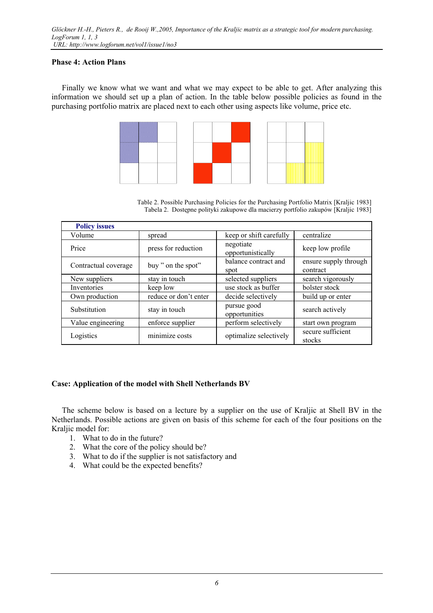## **Phase 4: Action Plans**

Finally we know what we want and what we may expect to be able to get. After analyzing this information we should set up a plan of action. In the table below possible policies as found in the purchasing portfolio matrix are placed next to each other using aspects like volume, price etc.



Table 2. Possible Purchasing Policies for the Purchasing Portfolio Matrix [Kraljic 1983] Tabela 2. Dostępne polityki zakupowe dla macierzy portfolio zakupów [Kraljic 1983]

| <b>Policy issues</b> |                       |                                |                                   |
|----------------------|-----------------------|--------------------------------|-----------------------------------|
| Volume               | spread                | keep or shift carefully        | centralize                        |
| Price                | press for reduction   | negotiate<br>opportunistically | keep low profile                  |
| Contractual coverage | buy " on the spot"    | balance contract and<br>spot   | ensure supply through<br>contract |
| New suppliers        | stay in touch         | selected suppliers             | search vigorously                 |
| Inventories          | keep low              | use stock as buffer            | bolster stock                     |
| Own production       | reduce or don't enter | decide selectively             | build up or enter                 |
| Substitution         | stay in touch         | pursue good<br>opportunities   | search actively                   |
| Value engineering    | enforce supplier      | perform selectively            | start own program                 |
| Logistics            | minimize costs        | optimalize selectively         | secure sufficient<br>stocks       |

## **Case: Application of the model with Shell Netherlands BV**

The scheme below is based on a lecture by a supplier on the use of Kraljic at Shell BV in the Netherlands. Possible actions are given on basis of this scheme for each of the four positions on the Kraljic model for:

- 1. What to do in the future?
- 2. What the core of the policy should be?
- 3. What to do if the supplier is not satisfactory and
- 4. What could be the expected benefits?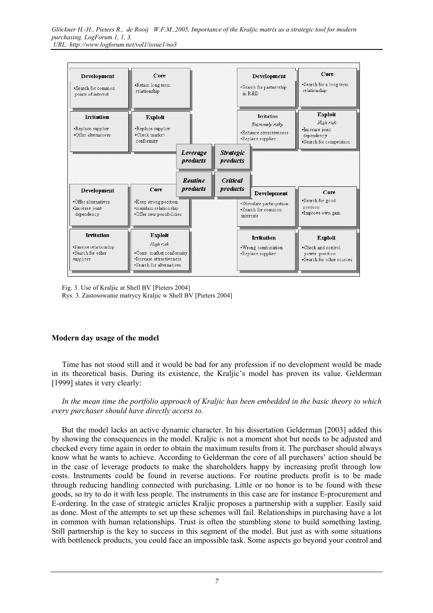

Fig. 3. Use of Kraljic at Shell BV [Pieters 2004]

Rys. 3. Zastosowanie matrycy Kraljic w Shell BV [Pieters 2004]

## **Modern day usage of the model**

Time has not stood still and it would be bad for any profession if no development would be made in its theoretical basis. During its existence, the Kraljic's model has proven its value. Gelderman [1999] states it very clearly:

## *In the mean time the portfolio approach of Kraljic has been embedded in the basic theory to which every purchaser should have directly access to.*

But the model lacks an active dynamic character. In his dissertation Gelderman [2003] added this by showing the consequences in the model. Kraljic is not a moment shot but needs to be adjusted and checked every time again in order to obtain the maximum results from it. The purchaser should always know what he wants to achieve. According to Gelderman the core of all purchasers' action should be in the case of leverage products to make the shareholders happy by increasing profit through low costs. Instruments could be found in reverse auctions. For routine products profit is to be made through reducing handling connected with purchasing. Little or no honor is to be found with these goods, so try to do it with less people. The instruments in this case are for instance E-procurement and E-ordering. In the case of strategic articles Kraljic proposes a partnership with a supplier. Easily said as done. Most of the attempts to set up these schemes will fail. Relationships in purchasing have a lot in common with human relationships. Trust is often the stumbling stone to build something lasting. Still partnership is the key to success in this segment of the model. But just as with some situations with bottleneck products, you could face an impossible task. Some aspects go beyond your control and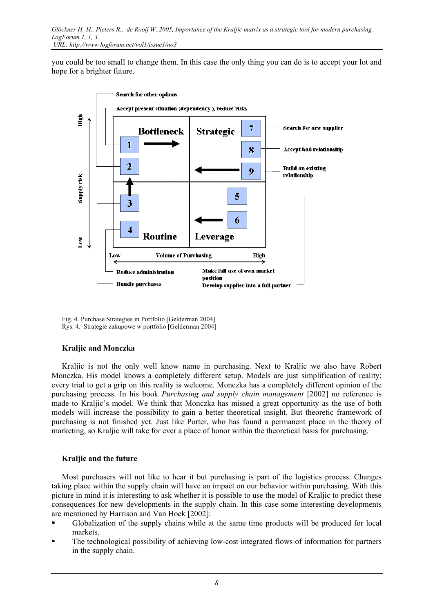you could be too small to change them. In this case the only thing you can do is to accept your lot and hope for a brighter future.



Fig. 4. Purchase Strategies in Portfolio [Gelderman 2004] Rys. 4. Strategie zakupowe w portfolio [Gelderman 2004]

## **Kraljic and Monczka**

Kraljic is not the only well know name in purchasing. Next to Kraljic we also have Robert Monczka. His model knows a completely different setup. Models are just simplification of reality; every trial to get a grip on this reality is welcome. Monczka has a completely different opinion of the purchasing process. In his book *Purchasing and supply chain management* [2002] no reference is made to Kraljic's model. We think that Monczka has missed a great opportunity as the use of both models will increase the possibility to gain a better theoretical insight. But theoretic framework of purchasing is not finished yet. Just like Porter, who has found a permanent place in the theory of marketing, so Kraljic will take for ever a place of honor within the theoretical basis for purchasing.

#### **Kraljic and the future**

Most purchasers will not like to hear it but purchasing is part of the logistics process. Changes taking place within the supply chain will have an impact on our behavior within purchasing. With this picture in mind it is interesting to ask whether it is possible to use the model of Kraljic to predict these consequences for new developments in the supply chain. In this case some interesting developments are mentioned by Harrison and Van Hoek [2002]:

- Globalization of the supply chains while at the same time products will be produced for local markets.
- The technological possibility of achieving low-cost integrated flows of information for partners in the supply chain.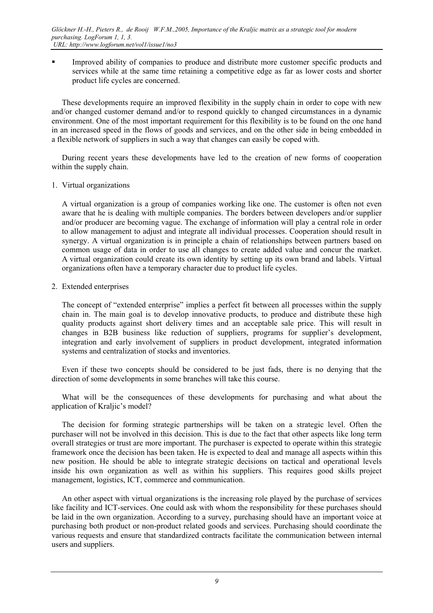Improved ability of companies to produce and distribute more customer specific products and services while at the same time retaining a competitive edge as far as lower costs and shorter product life cycles are concerned.

These developments require an improved flexibility in the supply chain in order to cope with new and/or changed customer demand and/or to respond quickly to changed circumstances in a dynamic environment. One of the most important requirement for this flexibility is to be found on the one hand in an increased speed in the flows of goods and services, and on the other side in being embedded in a flexible network of suppliers in such a way that changes can easily be coped with.

During recent years these developments have led to the creation of new forms of cooperation within the supply chain.

1. Virtual organizations

A virtual organization is a group of companies working like one. The customer is often not even aware that he is dealing with multiple companies. The borders between developers and/or supplier and/or producer are becoming vague. The exchange of information will play a central role in order to allow management to adjust and integrate all individual processes. Cooperation should result in synergy. A virtual organization is in principle a chain of relationships between partners based on common usage of data in order to use all changes to create added value and concur the market. A virtual organization could create its own identity by setting up its own brand and labels. Virtual organizations often have a temporary character due to product life cycles.

2. Extended enterprises

The concept of "extended enterprise" implies a perfect fit between all processes within the supply chain in. The main goal is to develop innovative products, to produce and distribute these high quality products against short delivery times and an acceptable sale price. This will result in changes in B2B business like reduction of suppliers, programs for supplier's development, integration and early involvement of suppliers in product development, integrated information systems and centralization of stocks and inventories.

Even if these two concepts should be considered to be just fads, there is no denying that the direction of some developments in some branches will take this course.

What will be the consequences of these developments for purchasing and what about the application of Kraljic's model?

The decision for forming strategic partnerships will be taken on a strategic level. Often the purchaser will not be involved in this decision. This is due to the fact that other aspects like long term overall strategies or trust are more important. The purchaser is expected to operate within this strategic framework once the decision has been taken. He is expected to deal and manage all aspects within this new position. He should be able to integrate strategic decisions on tactical and operational levels inside his own organization as well as within his suppliers. This requires good skills project management, logistics, ICT, commerce and communication.

An other aspect with virtual organizations is the increasing role played by the purchase of services like facility and ICT-services. One could ask with whom the responsibility for these purchases should be laid in the own organization. According to a survey, purchasing should have an important voice at purchasing both product or non-product related goods and services. Purchasing should coordinate the various requests and ensure that standardized contracts facilitate the communication between internal users and suppliers.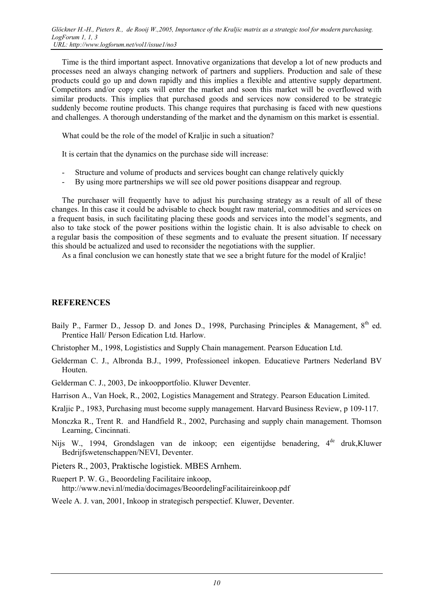Time is the third important aspect. Innovative organizations that develop a lot of new products and processes need an always changing network of partners and suppliers. Production and sale of these products could go up and down rapidly and this implies a flexible and attentive supply department. Competitors and/or copy cats will enter the market and soon this market will be overflowed with similar products. This implies that purchased goods and services now considered to be strategic suddenly become routine products. This change requires that purchasing is faced with new questions and challenges. A thorough understanding of the market and the dynamism on this market is essential.

What could be the role of the model of Kraliic in such a situation?

It is certain that the dynamics on the purchase side will increase:

- Structure and volume of products and services bought can change relatively quickly
- By using more partnerships we will see old power positions disappear and regroup.

The purchaser will frequently have to adjust his purchasing strategy as a result of all of these changes. In this case it could be advisable to check bought raw material, commodities and services on a frequent basis, in such facilitating placing these goods and services into the model's segments, and also to take stock of the power positions within the logistic chain. It is also advisable to check on a regular basis the composition of these segments and to evaluate the present situation. If necessary this should be actualized and used to reconsider the negotiations with the supplier.

As a final conclusion we can honestly state that we see a bright future for the model of Kraljic!

## **REFERENCES**

- Baily P., Farmer D., Jessop D. and Jones D., 1998, Purchasing Principles & Management,  $8<sup>th</sup>$  ed. Prentice Hall/ Person Edication Ltd. Harlow.
- Christopher M., 1998, Logististics and Supply Chain management. Pearson Education Ltd.
- Gelderman C. J., Albronda B.J., 1999, Professioneel inkopen. Educatieve Partners Nederland BV Houten.
- Gelderman C. J., 2003, De inkoopportfolio. Kluwer Deventer.

Harrison A., Van Hoek, R., 2002, Logistics Management and Strategy. Pearson Education Limited.

- Kraljic P., 1983, Purchasing must become supply management. Harvard Business Review, p 109-117.
- Monczka R., Trent R. and Handfield R., 2002, Purchasing and supply chain management. Thomson Learning, Cincinnati.
- Nijs W., 1994, Grondslagen van de inkoop; een eigentijdse benadering, 4<sup>de</sup> druk,Kluwer Bedrijfswetenschappen/NEVI, Deventer.
- Pieters R., 2003, Praktische logistiek. MBES Arnhem.
- Ruepert P. W. G., Beoordeling Facilitaire inkoop, [http://www.nevi.nl/media/docimages/BeoordelingF](http://www.nevi.nl/media/docimages/Beoordeling)acilitaireinkoop.pdf
- Weele A. J. van, 2001, Inkoop in strategisch perspectief. Kluwer, Deventer.